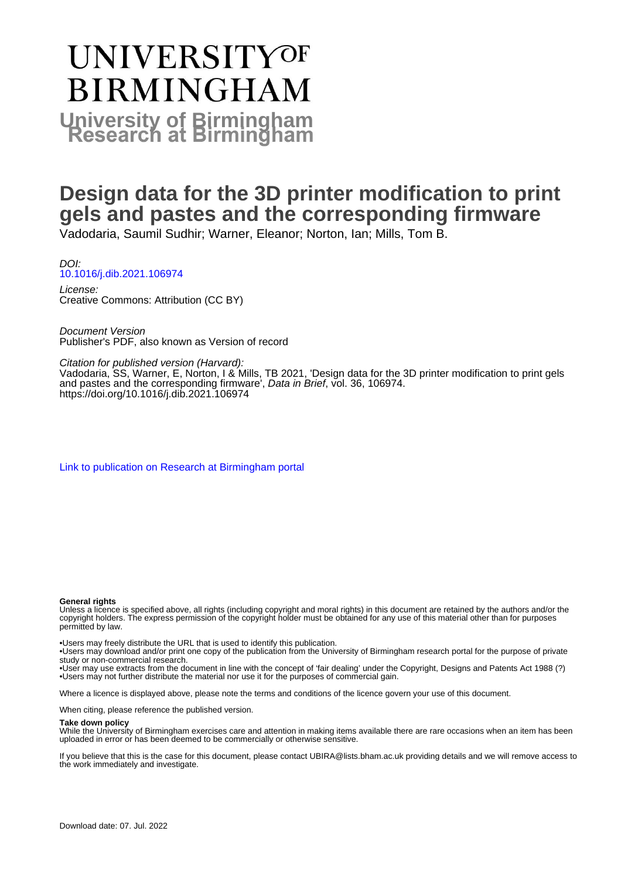# **UNIVERSITYOF BIRMINGHAM University of Birmingham**

# **Design data for the 3D printer modification to print gels and pastes and the corresponding firmware**

Vadodaria, Saumil Sudhir; Warner, Eleanor; Norton, Ian; Mills, Tom B.

DOI: [10.1016/j.dib.2021.106974](https://doi.org/10.1016/j.dib.2021.106974)

License: Creative Commons: Attribution (CC BY)

Document Version Publisher's PDF, also known as Version of record

Citation for published version (Harvard):

Vadodaria, SS, Warner, E, Norton, I & Mills, TB 2021, 'Design data for the 3D printer modification to print gels and pastes and the corresponding firmware', Data in Brief, vol. 36, 106974. <https://doi.org/10.1016/j.dib.2021.106974>

[Link to publication on Research at Birmingham portal](https://birmingham.elsevierpure.com/en/publications/d7669cfb-adfa-4e8e-9c34-3853d13a70af)

#### **General rights**

Unless a licence is specified above, all rights (including copyright and moral rights) in this document are retained by the authors and/or the copyright holders. The express permission of the copyright holder must be obtained for any use of this material other than for purposes permitted by law.

• Users may freely distribute the URL that is used to identify this publication.

• Users may download and/or print one copy of the publication from the University of Birmingham research portal for the purpose of private study or non-commercial research.

• User may use extracts from the document in line with the concept of 'fair dealing' under the Copyright, Designs and Patents Act 1988 (?) • Users may not further distribute the material nor use it for the purposes of commercial gain.

Where a licence is displayed above, please note the terms and conditions of the licence govern your use of this document.

When citing, please reference the published version.

#### **Take down policy**

While the University of Birmingham exercises care and attention in making items available there are rare occasions when an item has been uploaded in error or has been deemed to be commercially or otherwise sensitive.

If you believe that this is the case for this document, please contact UBIRA@lists.bham.ac.uk providing details and we will remove access to the work immediately and investigate.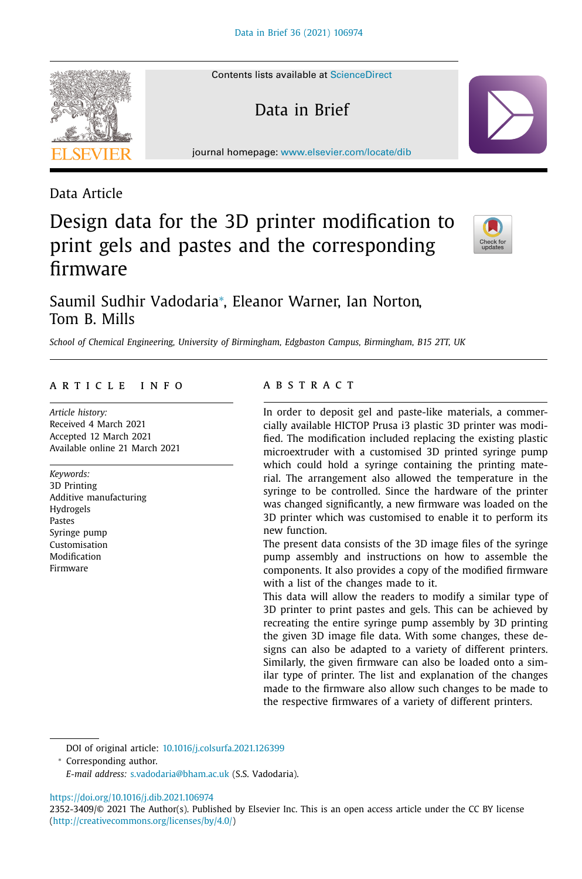Contents lists available at [ScienceDirect](http://www.ScienceDirect.com)

Data in Brief

journal homepage: [www.elsevier.com/locate/dib](http://www.elsevier.com/locate/dib)



## Design data for the 3D printer modification to print gels and pastes and the corresponding firmware



### Saumil Sudhir Vadodaria<sup>∗</sup> , Eleanor Warner, Ian Norton, Tom B. Mills

*School of Chemical Engineering, University of Birmingham, Edgbaston Campus, Birmingham, B15 2TT, UK*

#### a r t i c l e i n f o

*Article history:* Received 4 March 2021 Accepted 12 March 2021 Available online 21 March 2021

*Keywords:* 3D Printing Additive manufacturing Hydrogels Pastes Syringe pump Customisation Modification Firmware

#### A B S T R A C T

In order to deposit gel and paste-like materials, a commercially available HICTOP Prusa i3 plastic 3D printer was modified. The modification included replacing the existing plastic microextruder with a customised 3D printed syringe pump which could hold a syringe containing the printing material. The arrangement also allowed the temperature in the syringe to be controlled. Since the hardware of the printer was changed significantly, a new firmware was loaded on the 3D printer which was customised to enable it to perform its new function.

The present data consists of the 3D image files of the syringe pump assembly and instructions on how to assemble the components. It also provides a copy of the modified firmware with a list of the changes made to it.

This data will allow the readers to modify a similar type of 3D printer to print pastes and gels. This can be achieved by recreating the entire syringe pump assembly by 3D printing the given 3D image file data. With some changes, these designs can also be adapted to a variety of different printers. Similarly, the given firmware can also be loaded onto a similar type of printer. The list and explanation of the changes made to the firmware also allow such changes to be made to the respective firmwares of a variety of different printers.

DOI of original article: [10.1016/j.colsurfa.2021.126399](https://doi.org/10.1016/j.colsurfa.2021.126399)

<sup>∗</sup> Corresponding author.

*E-mail address:* [s.vadodaria@bham.ac.uk](mailto:s.vadodaria@bham.ac.uk) (S.S. Vadodaria).

<https://doi.org/10.1016/j.dib.2021.106974>

2352-3409/© 2021 The Author(s). Published by Elsevier Inc. This is an open access article under the CC BY license [\(http://creativecommons.org/licenses/by/4.0/\)](http://creativecommons.org/licenses/by/4.0/)

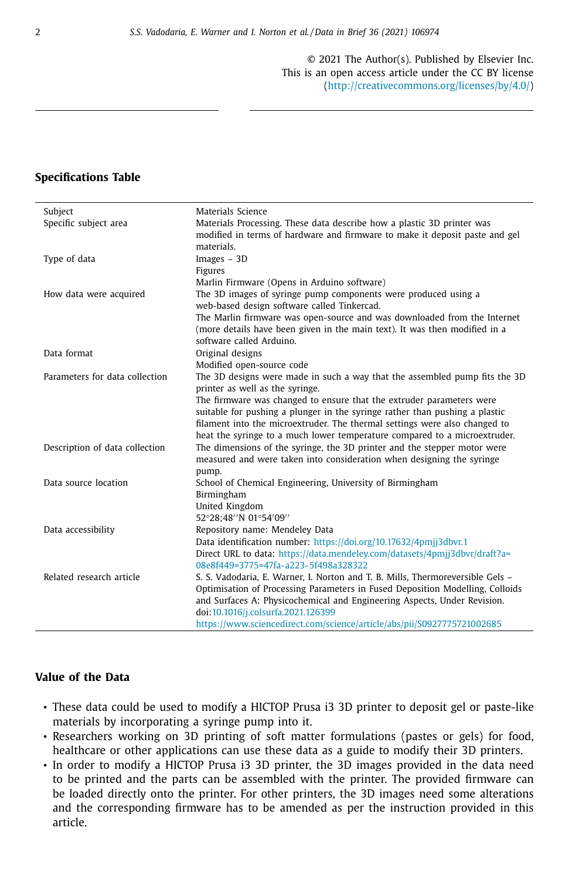© 2021 The Author(s). Published by Elsevier Inc. This is an open access article under the CC BY license [\(http://creativecommons.org/licenses/by/4.0/\)](http://creativecommons.org/licenses/by/4.0/)

### **Specifications Table**

| Subject                        | Materials Science                                                              |
|--------------------------------|--------------------------------------------------------------------------------|
| Specific subject area          | Materials Processing. These data describe how a plastic 3D printer was         |
|                                | modified in terms of hardware and firmware to make it deposit paste and gel    |
|                                | materials.                                                                     |
| Type of data                   | Images - 3D                                                                    |
|                                | Figures                                                                        |
|                                | Marlin Firmware (Opens in Arduino software)                                    |
| How data were acquired         | The 3D images of syringe pump components were produced using a                 |
|                                | web-based design software called Tinkercad.                                    |
|                                | The Marlin firmware was open-source and was downloaded from the Internet       |
|                                | (more details have been given in the main text). It was then modified in a     |
|                                | software called Arduino.                                                       |
| Data format                    | Original designs                                                               |
|                                | Modified open-source code                                                      |
| Parameters for data collection | The 3D designs were made in such a way that the assembled pump fits the 3D     |
|                                | printer as well as the syringe.                                                |
|                                | The firmware was changed to ensure that the extruder parameters were           |
|                                | suitable for pushing a plunger in the syringe rather than pushing a plastic    |
|                                | filament into the microextruder. The thermal settings were also changed to     |
|                                | heat the syringe to a much lower temperature compared to a microextruder.      |
| Description of data collection | The dimensions of the syringe, the 3D printer and the stepper motor were       |
|                                | measured and were taken into consideration when designing the syringe          |
|                                | pump.                                                                          |
| Data source location           | School of Chemical Engineering, University of Birmingham                       |
|                                | Birmingham                                                                     |
|                                | United Kingdom<br>52°28;48"N 01°54'09"                                         |
|                                | Repository name: Mendeley Data                                                 |
| Data accessibility             | Data identification number: https://doi.org/10.17632/4pmjj3dbvr.1              |
|                                | Direct URL to data: https://data.mendeley.com/datasets/4pmjj3dbvr/draft?a=     |
|                                | 08e8f449=3775=47fa-a223-5f498a328322                                           |
| Related research article       | S. S. Vadodaria, E. Warner, I. Norton and T. B. Mills, Thermoreversible Gels - |
|                                | Optimisation of Processing Parameters in Fused Deposition Modelling, Colloids  |
|                                | and Surfaces A: Physicochemical and Engineering Aspects, Under Revision.       |
|                                | doi:10.1016/j.colsurfa.2021.126399                                             |
|                                | https://www.sciencedirect.com/science/article/abs/pii/S0927775721002685        |

#### **Value of the Data**

- These data could be used to modify a HICTOP Prusa i3 3D printer to deposit gel or paste-like materials by incorporating a syringe pump into it.
- Researchers working on 3D printing of soft matter formulations (pastes or gels) for food, healthcare or other applications can use these data as a guide to modify their 3D printers.
- In order to modify a HICTOP Prusa i3 3D printer, the 3D images provided in the data need to be printed and the parts can be assembled with the printer. The provided firmware can be loaded directly onto the printer. For other printers, the 3D images need some alterations and the corresponding firmware has to be amended as per the instruction provided in this article.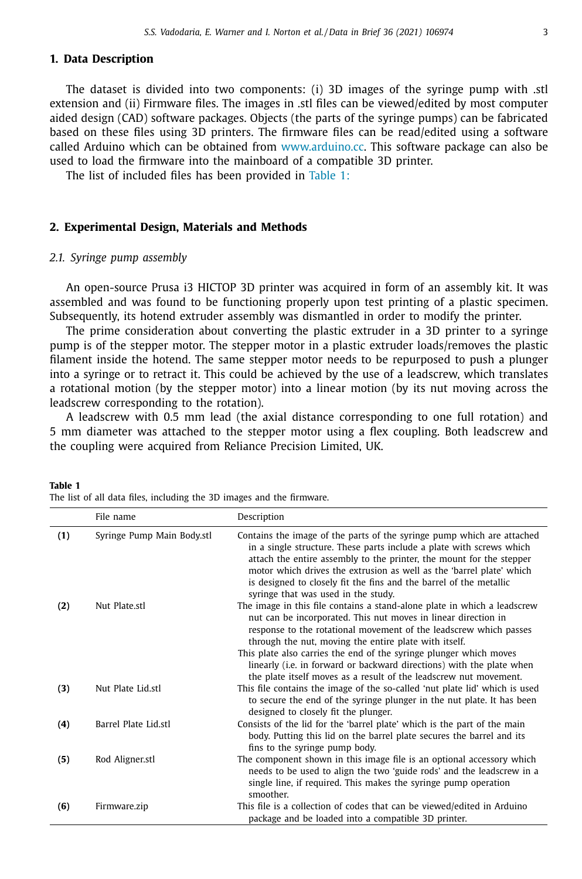#### **1. Data Description**

The dataset is divided into two components: (i) 3D images of the syringe pump with .stl extension and (ii) Firmware files. The images in .stl files can be viewed/edited by most computer aided design (CAD) software packages. Objects (the parts of the syringe pumps) can be fabricated based on these files using 3D printers. The firmware files can be read/edited using a software called Arduino which can be obtained from [www.arduino.cc.](http://www.arduino.cc) This software package can also be used to load the firmware into the mainboard of a compatible 3D printer.

The list of included files has been provided in Table 1:

#### **2. Experimental Design, Materials and Methods**

#### *2.1. Syringe pump assembly*

**Table 1**

An open-source Prusa i3 HICTOP 3D printer was acquired in form of an assembly kit. It was assembled and was found to be functioning properly upon test printing of a plastic specimen. Subsequently, its hotend extruder assembly was dismantled in order to modify the printer.

The prime consideration about converting the plastic extruder in a 3D printer to a syringe pump is of the stepper motor. The stepper motor in a plastic extruder loads/removes the plastic filament inside the hotend. The same stepper motor needs to be repurposed to push a plunger into a syringe or to retract it. This could be achieved by the use of a leadscrew, which translates a rotational motion (by the stepper motor) into a linear motion (by its nut moving across the leadscrew corresponding to the rotation).

A leadscrew with 0.5 mm lead (the axial distance corresponding to one full rotation) and 5 mm diameter was attached to the stepper motor using a flex coupling. Both leadscrew and the coupling were acquired from Reliance Precision Limited, UK.

|     | File name                  | Description                                                                                                                                                                                                                                                                                                                                                                                                             |
|-----|----------------------------|-------------------------------------------------------------------------------------------------------------------------------------------------------------------------------------------------------------------------------------------------------------------------------------------------------------------------------------------------------------------------------------------------------------------------|
| (1) | Syringe Pump Main Body.stl | Contains the image of the parts of the syringe pump which are attached<br>in a single structure. These parts include a plate with screws which<br>attach the entire assembly to the printer, the mount for the stepper<br>motor which drives the extrusion as well as the 'barrel plate' which<br>is designed to closely fit the fins and the barrel of the metallic<br>syringe that was used in the study.             |
| (2) | Nut Plate.stl              | The image in this file contains a stand-alone plate in which a leadscrew<br>nut can be incorporated. This nut moves in linear direction in<br>response to the rotational movement of the leadscrew which passes<br>through the nut, moving the entire plate with itself.<br>This plate also carries the end of the syringe plunger which moves<br>linearly (i.e. in forward or backward directions) with the plate when |
| (3) | Nut Plate Lid.stl          | the plate itself moves as a result of the leadscrew nut movement.<br>This file contains the image of the so-called 'nut plate lid' which is used<br>to secure the end of the syringe plunger in the nut plate. It has been<br>designed to closely fit the plunger.                                                                                                                                                      |
| (4) | Barrel Plate Lid.stl       | Consists of the lid for the 'barrel plate' which is the part of the main<br>body. Putting this lid on the barrel plate secures the barrel and its<br>fins to the syringe pump body.                                                                                                                                                                                                                                     |
| (5) | Rod Aligner.stl            | The component shown in this image file is an optional accessory which<br>needs to be used to align the two 'guide rods' and the leadscrew in a<br>single line, if required. This makes the syringe pump operation<br>smoother.                                                                                                                                                                                          |
| (6) | Firmware.zip               | This file is a collection of codes that can be viewed/edited in Arduino<br>package and be loaded into a compatible 3D printer.                                                                                                                                                                                                                                                                                          |

The list of all data files, including the 3D images and the firmware.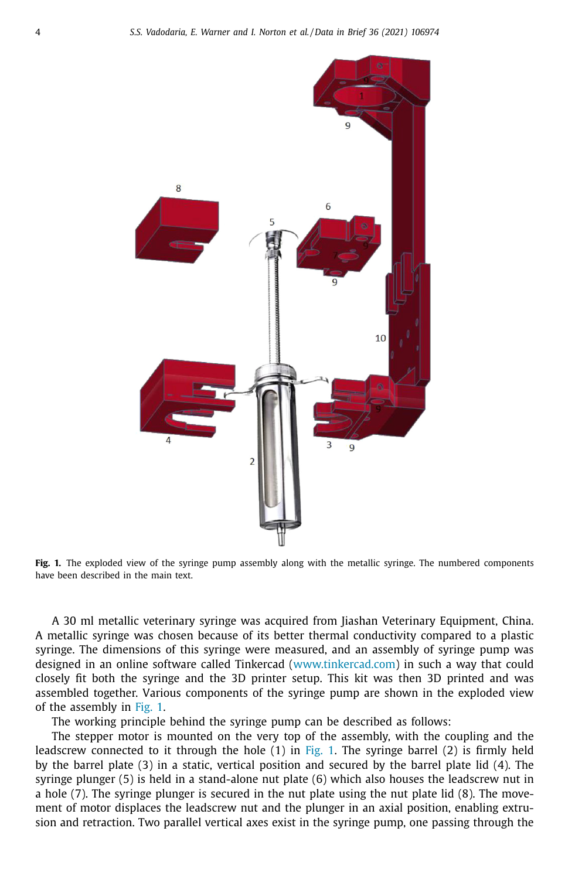

**Fig. 1.** The exploded view of the syringe pump assembly along with the metallic syringe. The numbered components have been described in the main text.

A 30 ml metallic veterinary syringe was acquired from Jiashan Veterinary Equipment, China. A metallic syringe was chosen because of its better thermal conductivity compared to a plastic syringe. The dimensions of this syringe were measured, and an assembly of syringe pump was designed in an online software called Tinkercad [\(www.tinkercad.com\)](http://www.tinkercad.com) in such a way that could closely fit both the syringe and the 3D printer setup. This kit was then 3D printed and was assembled together. Various components of the syringe pump are shown in the exploded view of the assembly in Fig. 1.

The working principle behind the syringe pump can be described as follows:

The stepper motor is mounted on the very top of the assembly, with the coupling and the leadscrew connected to it through the hole  $(1)$  in Fig. 1. The syringe barrel  $(2)$  is firmly held by the barrel plate (3) in a static, vertical position and secured by the barrel plate lid (4). The syringe plunger (5) is held in a stand-alone nut plate (6) which also houses the leadscrew nut in a hole (7). The syringe plunger is secured in the nut plate using the nut plate lid (8). The movement of motor displaces the leadscrew nut and the plunger in an axial position, enabling extrusion and retraction. Two parallel vertical axes exist in the syringe pump, one passing through the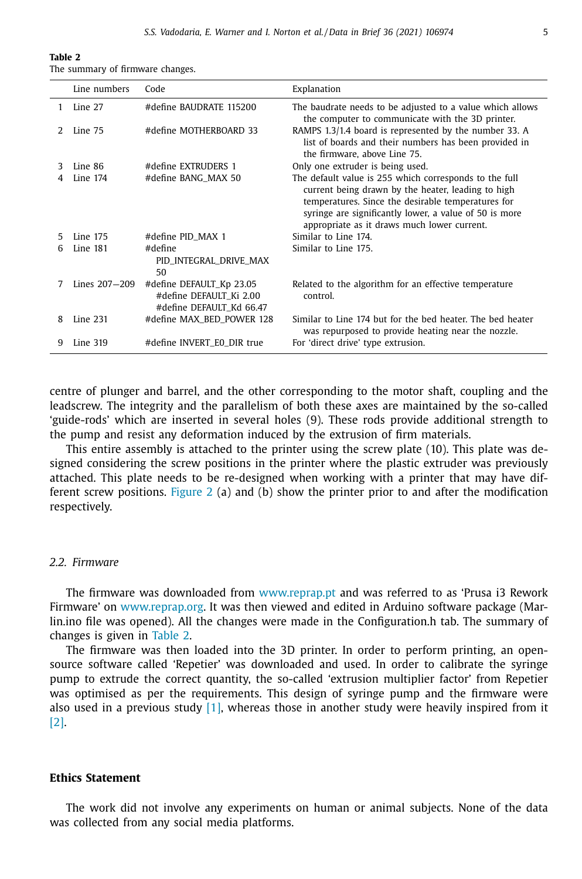| Table 2                          |  |  |  |  |  |  |
|----------------------------------|--|--|--|--|--|--|
| The summary of firmware changes. |  |  |  |  |  |  |

|    | Line numbers  | Code                                                                            | Explanation                                                                                                                                                                                                                                                                 |
|----|---------------|---------------------------------------------------------------------------------|-----------------------------------------------------------------------------------------------------------------------------------------------------------------------------------------------------------------------------------------------------------------------------|
| 1. | Line 27       | #define BAUDRATE 115200                                                         | The baudrate needs to be adjusted to a value which allows<br>the computer to communicate with the 3D printer.                                                                                                                                                               |
| 2  | Line 75       | #define MOTHERBOARD 33                                                          | RAMPS 1.3/1.4 board is represented by the number 33. A<br>list of boards and their numbers has been provided in<br>the firmware, above Line 75.                                                                                                                             |
| 3  | Line 86       | #define EXTRUDERS 1                                                             | Only one extruder is being used.                                                                                                                                                                                                                                            |
| 4  | Line 174      | #define BANG_MAX 50                                                             | The default value is 255 which corresponds to the full<br>current being drawn by the heater, leading to high<br>temperatures. Since the desirable temperatures for<br>syringe are significantly lower, a value of 50 is more<br>appropriate as it draws much lower current. |
| 5  | Line 175      | #define PID_MAX 1                                                               | Similar to Line 174                                                                                                                                                                                                                                                         |
| 6  | Line 181      | #define<br>PID_INTEGRAL_DRIVE_MAX<br>50                                         | Similar to Line 175.                                                                                                                                                                                                                                                        |
|    | Lines 207-209 | #define DEFAULT_Kp 23.05<br>#define DEFAULT Ki 2.00<br>#define DEFAULT Kd 66.47 | Related to the algorithm for an effective temperature<br>control.                                                                                                                                                                                                           |
| 8  | Line 231      | #define MAX_BED_POWER 128                                                       | Similar to Line 174 but for the bed heater. The bed heater<br>was repurposed to provide heating near the nozzle.                                                                                                                                                            |
| 9  | Line 319      | #define INVERT_E0_DIR true                                                      | For 'direct drive' type extrusion.                                                                                                                                                                                                                                          |

centre of plunger and barrel, and the other corresponding to the motor shaft, coupling and the leadscrew. The integrity and the parallelism of both these axes are maintained by the so-called 'guide-rods' which are inserted in several holes (9). These rods provide additional strength to the pump and resist any deformation induced by the extrusion of firm materials.

This entire assembly is attached to the printer using the screw plate (10). This plate was designed considering the screw positions in the printer where the plastic extruder was previously attached. This plate needs to be re-designed when working with a printer that may have dif-ferent screw positions. [Figure](#page-6-0) 2 (a) and (b) show the printer prior to and after the modification respectively.

#### *2.2. Firmware*

The firmware was downloaded from [www.reprap.pt](http://www.reprap.pt) and was referred to as 'Prusa i3 Rework Firmware' on [www.reprap.org.](http://www.reprap.org) It was then viewed and edited in Arduino software package (Marlin.ino file was opened). All the changes were made in the Configuration.h tab. The summary of changes is given in Table 2.

The firmware was then loaded into the 3D printer. In order to perform printing, an opensource software called 'Repetier' was downloaded and used. In order to calibrate the syringe pump to extrude the correct quantity, the so-called 'extrusion multiplier factor' from Repetier was optimised as per the requirements. This design of syringe pump and the firmware were also used in a previous study  $[1]$ , whereas those in another study were heavily inspired from it [\[2\].](#page-7-0)

#### **Ethics Statement**

The work did not involve any experiments on human or animal subjects. None of the data was collected from any social media platforms.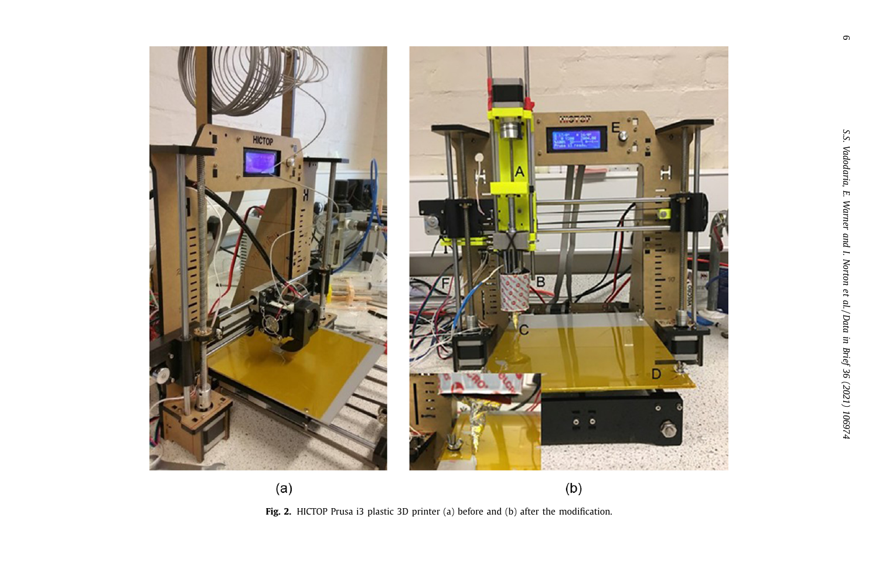<span id="page-6-0"></span>

**Fig. 2.** HICTOP Prusa i3 plastic 3D printer (a) before and (b) after the modification.